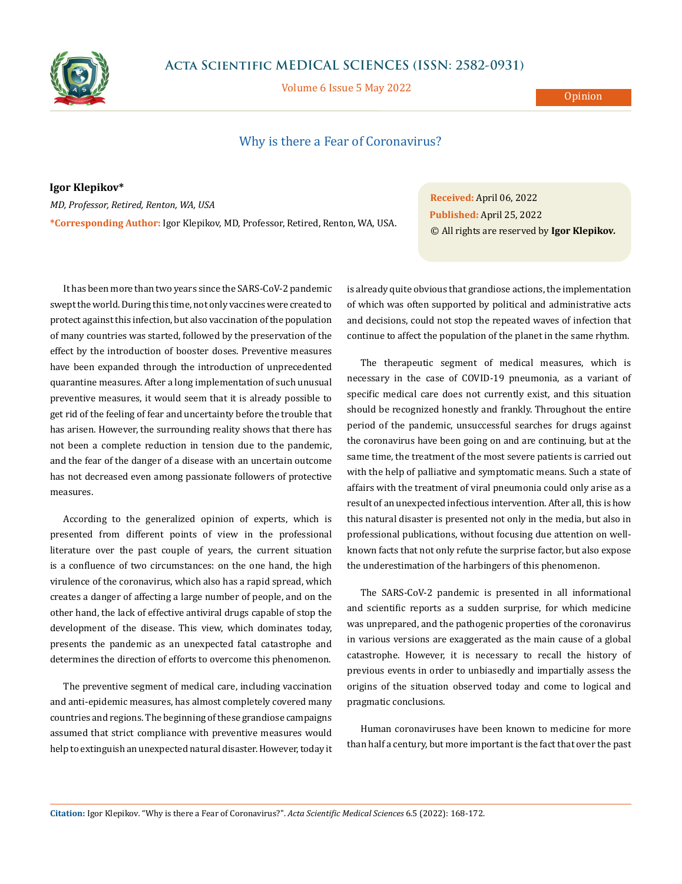

## **Acta Scientific MEDICAL SCIENCES (ISSN: 2582-0931)**

Volume 6 Issue 5 May 2022

**Opinion** 

## Why is there a Fear of Coronavirus?

**Igor Klepikov\*** *MD, Professor, Retired, Renton, WA, USA* **\*Corresponding Author:** Igor Klepikov, MD, Professor, Retired, Renton, WA, USA.

**Received:** April 06, 2022 **Published:** April 25, 2022 © All rights are reserved by **Igor Klepikov***.*

It has been more than two years since the SARS-CoV-2 pandemic swept the world. During this time, not only vaccines were created to protect against this infection, but also vaccination of the population of many countries was started, followed by the preservation of the effect by the introduction of booster doses. Preventive measures have been expanded through the introduction of unprecedented quarantine measures. After a long implementation of such unusual preventive measures, it would seem that it is already possible to get rid of the feeling of fear and uncertainty before the trouble that has arisen. However, the surrounding reality shows that there has not been a complete reduction in tension due to the pandemic, and the fear of the danger of a disease with an uncertain outcome has not decreased even among passionate followers of protective measures.

According to the generalized opinion of experts, which is presented from different points of view in the professional literature over the past couple of years, the current situation is a confluence of two circumstances: on the one hand, the high virulence of the coronavirus, which also has a rapid spread, which creates a danger of affecting a large number of people, and on the other hand, the lack of effective antiviral drugs capable of stop the development of the disease. This view, which dominates today, presents the pandemic as an unexpected fatal catastrophe and determines the direction of efforts to overcome this phenomenon.

The preventive segment of medical care, including vaccination and anti-epidemic measures, has almost completely covered many countries and regions. The beginning of these grandiose campaigns assumed that strict compliance with preventive measures would help to extinguish an unexpected natural disaster. However, today it is already quite obvious that grandiose actions, the implementation of which was often supported by political and administrative acts and decisions, could not stop the repeated waves of infection that continue to affect the population of the planet in the same rhythm.

The therapeutic segment of medical measures, which is necessary in the case of COVID-19 pneumonia, as a variant of specific medical care does not currently exist, and this situation should be recognized honestly and frankly. Throughout the entire period of the pandemic, unsuccessful searches for drugs against the coronavirus have been going on and are continuing, but at the same time, the treatment of the most severe patients is carried out with the help of palliative and symptomatic means. Such a state of affairs with the treatment of viral pneumonia could only arise as a result of an unexpected infectious intervention. After all, this is how this natural disaster is presented not only in the media, but also in professional publications, without focusing due attention on wellknown facts that not only refute the surprise factor, but also expose the underestimation of the harbingers of this phenomenon.

The SARS-CoV-2 pandemic is presented in all informational and scientific reports as a sudden surprise, for which medicine was unprepared, and the pathogenic properties of the coronavirus in various versions are exaggerated as the main cause of a global catastrophe. However, it is necessary to recall the history of previous events in order to unbiasedly and impartially assess the origins of the situation observed today and come to logical and pragmatic conclusions.

Human coronaviruses have been known to medicine for more than half a century, but more important is the fact that over the past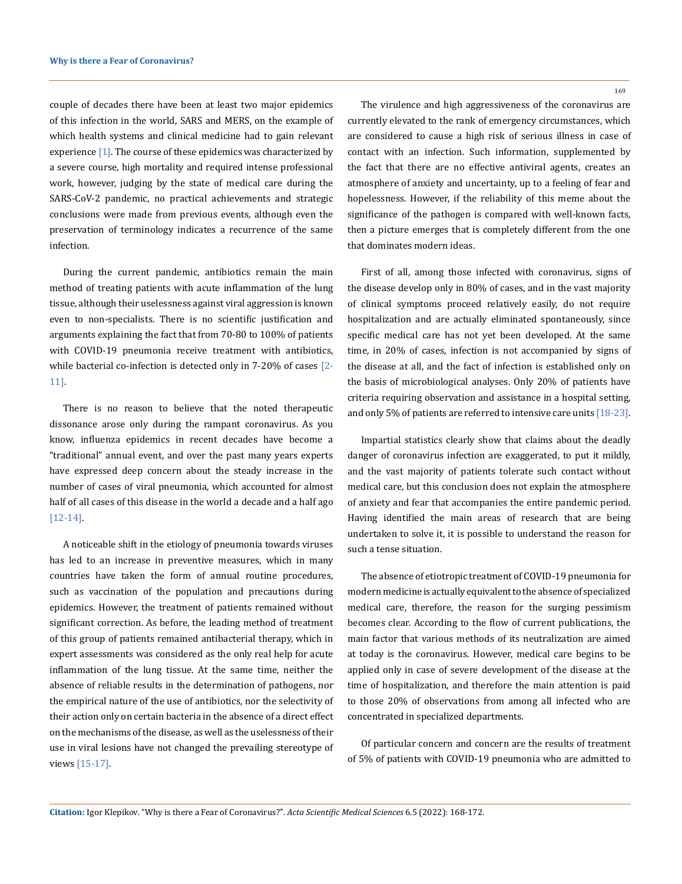couple of decades there have been at least two major epidemics of this infection in the world, SARS and MERS, on the example of which health systems and clinical medicine had to gain relevant experience  $[1]$ . The course of these epidemics was characterized by a severe course, high mortality and required intense professional work, however, judging by the state of medical care during the SARS-CoV-2 pandemic, no practical achievements and strategic conclusions were made from previous events, although even the preservation of terminology indicates a recurrence of the same infection.

During the current pandemic, antibiotics remain the main method of treating patients with acute inflammation of the lung tissue, although their uselessness against viral aggression is known even to non-specialists. There is no scientific justification and arguments explaining the fact that from 70-80 to 100% of patients with COVID-19 pneumonia receive treatment with antibiotics, while bacterial co-infection is detected only in 7-20% of cases [2- 11].

There is no reason to believe that the noted therapeutic dissonance arose only during the rampant coronavirus. As you know, influenza epidemics in recent decades have become a "traditional" annual event, and over the past many years experts have expressed deep concern about the steady increase in the number of cases of viral pneumonia, which accounted for almost half of all cases of this disease in the world a decade and a half ago [12-14].

A noticeable shift in the etiology of pneumonia towards viruses has led to an increase in preventive measures, which in many countries have taken the form of annual routine procedures, such as vaccination of the population and precautions during epidemics. However, the treatment of patients remained without significant correction. As before, the leading method of treatment of this group of patients remained antibacterial therapy, which in expert assessments was considered as the only real help for acute inflammation of the lung tissue. At the same time, neither the absence of reliable results in the determination of pathogens, nor the empirical nature of the use of antibiotics, nor the selectivity of their action only on certain bacteria in the absence of a direct effect on the mechanisms of the disease, as well as the uselessness of their use in viral lesions have not changed the prevailing stereotype of views [15-17].

169

The virulence and high aggressiveness of the coronavirus are currently elevated to the rank of emergency circumstances, which are considered to cause a high risk of serious illness in case of contact with an infection. Such information, supplemented by the fact that there are no effective antiviral agents, creates an atmosphere of anxiety and uncertainty, up to a feeling of fear and hopelessness. However, if the reliability of this meme about the significance of the pathogen is compared with well-known facts, then a picture emerges that is completely different from the one that dominates modern ideas.

First of all, among those infected with coronavirus, signs of the disease develop only in 80% of cases, and in the vast majority of clinical symptoms proceed relatively easily, do not require hospitalization and are actually eliminated spontaneously, since specific medical care has not yet been developed. At the same time, in 20% of cases, infection is not accompanied by signs of the disease at all, and the fact of infection is established only on the basis of microbiological analyses. Only 20% of patients have criteria requiring observation and assistance in a hospital setting, and only 5% of patients are referred to intensive care units [18-23].

Impartial statistics clearly show that claims about the deadly danger of coronavirus infection are exaggerated, to put it mildly, and the vast majority of patients tolerate such contact without medical care, but this conclusion does not explain the atmosphere of anxiety and fear that accompanies the entire pandemic period. Having identified the main areas of research that are being undertaken to solve it, it is possible to understand the reason for such a tense situation.

The absence of etiotropic treatment of COVID-19 pneumonia for modern medicine is actually equivalent to the absence of specialized medical care, therefore, the reason for the surging pessimism becomes clear. According to the flow of current publications, the main factor that various methods of its neutralization are aimed at today is the coronavirus. However, medical care begins to be applied only in case of severe development of the disease at the time of hospitalization, and therefore the main attention is paid to those 20% of observations from among all infected who are concentrated in specialized departments.

Of particular concern and concern are the results of treatment of 5% of patients with COVID-19 pneumonia who are admitted to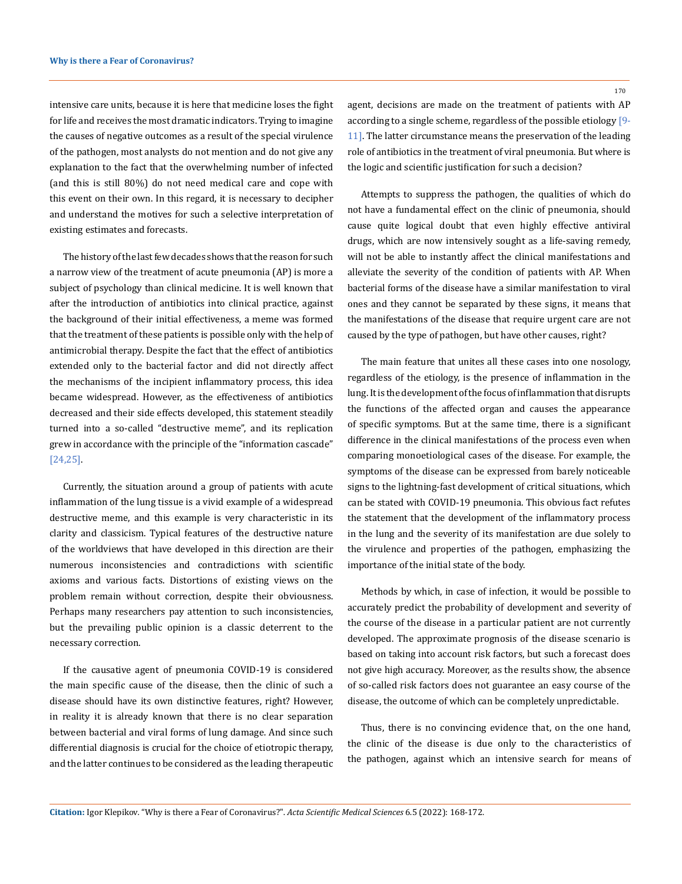intensive care units, because it is here that medicine loses the fight for life and receives the most dramatic indicators. Trying to imagine the causes of negative outcomes as a result of the special virulence of the pathogen, most analysts do not mention and do not give any explanation to the fact that the overwhelming number of infected (and this is still 80%) do not need medical care and cope with this event on their own. In this regard, it is necessary to decipher and understand the motives for such a selective interpretation of existing estimates and forecasts.

The history of the last few decades shows that the reason for such a narrow view of the treatment of acute pneumonia (AP) is more a subject of psychology than clinical medicine. It is well known that after the introduction of antibiotics into clinical practice, against the background of their initial effectiveness, a meme was formed that the treatment of these patients is possible only with the help of antimicrobial therapy. Despite the fact that the effect of antibiotics extended only to the bacterial factor and did not directly affect the mechanisms of the incipient inflammatory process, this idea became widespread. However, as the effectiveness of antibiotics decreased and their side effects developed, this statement steadily turned into a so-called "destructive meme", and its replication grew in accordance with the principle of the "information cascade" [24,25].

Currently, the situation around a group of patients with acute inflammation of the lung tissue is a vivid example of a widespread destructive meme, and this example is very characteristic in its clarity and classicism. Typical features of the destructive nature of the worldviews that have developed in this direction are their numerous inconsistencies and contradictions with scientific axioms and various facts. Distortions of existing views on the problem remain without correction, despite their obviousness. Perhaps many researchers pay attention to such inconsistencies, but the prevailing public opinion is a classic deterrent to the necessary correction.

If the causative agent of pneumonia COVID-19 is considered the main specific cause of the disease, then the clinic of such a disease should have its own distinctive features, right? However, in reality it is already known that there is no clear separation between bacterial and viral forms of lung damage. And since such differential diagnosis is crucial for the choice of etiotropic therapy, and the latter continues to be considered as the leading therapeutic

170

agent, decisions are made on the treatment of patients with AP according to a single scheme, regardless of the possible etiology [9- 11]. The latter circumstance means the preservation of the leading role of antibiotics in the treatment of viral pneumonia. But where is the logic and scientific justification for such a decision?

Attempts to suppress the pathogen, the qualities of which do not have a fundamental effect on the clinic of pneumonia, should cause quite logical doubt that even highly effective antiviral drugs, which are now intensively sought as a life-saving remedy, will not be able to instantly affect the clinical manifestations and alleviate the severity of the condition of patients with AP. When bacterial forms of the disease have a similar manifestation to viral ones and they cannot be separated by these signs, it means that the manifestations of the disease that require urgent care are not caused by the type of pathogen, but have other causes, right?

The main feature that unites all these cases into one nosology, regardless of the etiology, is the presence of inflammation in the lung. It is the development of the focus of inflammation that disrupts the functions of the affected organ and causes the appearance of specific symptoms. But at the same time, there is a significant difference in the clinical manifestations of the process even when comparing monoetiological cases of the disease. For example, the symptoms of the disease can be expressed from barely noticeable signs to the lightning-fast development of critical situations, which can be stated with COVID-19 pneumonia. This obvious fact refutes the statement that the development of the inflammatory process in the lung and the severity of its manifestation are due solely to the virulence and properties of the pathogen, emphasizing the importance of the initial state of the body.

Methods by which, in case of infection, it would be possible to accurately predict the probability of development and severity of the course of the disease in a particular patient are not currently developed. The approximate prognosis of the disease scenario is based on taking into account risk factors, but such a forecast does not give high accuracy. Moreover, as the results show, the absence of so-called risk factors does not guarantee an easy course of the disease, the outcome of which can be completely unpredictable.

Thus, there is no convincing evidence that, on the one hand, the clinic of the disease is due only to the characteristics of the pathogen, against which an intensive search for means of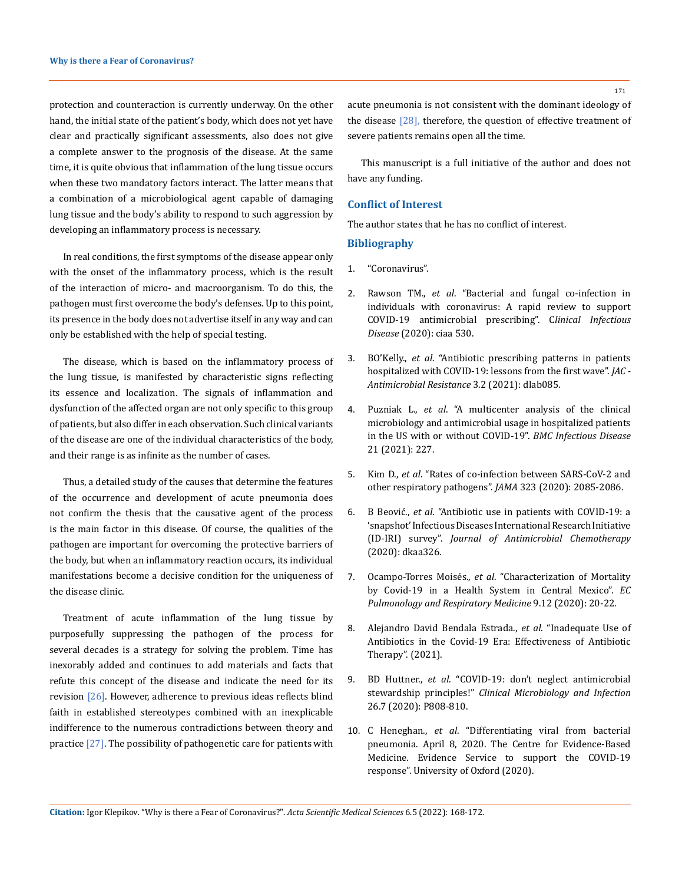protection and counteraction is currently underway. On the other hand, the initial state of the patient's body, which does not yet have clear and practically significant assessments, also does not give a complete answer to the prognosis of the disease. At the same time, it is quite obvious that inflammation of the lung tissue occurs when these two mandatory factors interact. The latter means that a combination of a microbiological agent capable of damaging lung tissue and the body's ability to respond to such aggression by developing an inflammatory process is necessary.

In real conditions, the first symptoms of the disease appear only with the onset of the inflammatory process, which is the result of the interaction of micro- and macroorganism. To do this, the pathogen must first overcome the body's defenses. Up to this point, its presence in the body does not advertise itself in any way and can only be established with the help of special testing.

The disease, which is based on the inflammatory process of the lung tissue, is manifested by characteristic signs reflecting its essence and localization. The signals of inflammation and dysfunction of the affected organ are not only specific to this group of patients, but also differ in each observation. Such clinical variants of the disease are one of the individual characteristics of the body, and their range is as infinite as the number of cases.

Thus, a detailed study of the causes that determine the features of the occurrence and development of acute pneumonia does not confirm the thesis that the causative agent of the process is the main factor in this disease. Of course, the qualities of the pathogen are important for overcoming the protective barriers of the body, but when an inflammatory reaction occurs, its individual manifestations become a decisive condition for the uniqueness of the disease clinic.

Treatment of acute inflammation of the lung tissue by purposefully suppressing the pathogen of the process for several decades is a strategy for solving the problem. Time has inexorably added and continues to add materials and facts that refute this concept of the disease and indicate the need for its revision [26]. However, adherence to previous ideas reflects blind faith in established stereotypes combined with an inexplicable indifference to the numerous contradictions between theory and practice [27]. The possibility of pathogenetic care for patients with

acute pneumonia is not consistent with the dominant ideology of the disease  $[28]$ , therefore, the question of effective treatment of severe patients remains open all the time.

This manuscript is a full initiative of the author and does not have any funding.

## **Conflict of Interest**

The author states that he has no conflict of interest.

## **Bibliography**

- 1. ["Coronavirus".](https://en.wikipedia.org/wiki/Coronavirus)
- 2. Rawson TM., *et al*[. "Bacterial and fungal co-infection in](https://pubmed.ncbi.nlm.nih.gov/32358954/)  [individuals with coronavirus: A rapid review to support](https://pubmed.ncbi.nlm.nih.gov/32358954/)  [COVID-19 antimicrobial prescribing". C](https://pubmed.ncbi.nlm.nih.gov/32358954/)*linical Infectious Disease* [\(2020\): ciaa 530.](https://pubmed.ncbi.nlm.nih.gov/32358954/)
- 3. BO'Kelly., *et al*[. "Antibiotic prescribing patterns in patients](https://doi.org/10.1093/jacamr/dlab085)  [hospitalized with COVID-19: lessons from the first wave".](https://doi.org/10.1093/jacamr/dlab085) *JAC - [Antimicrobial Resistance](https://doi.org/10.1093/jacamr/dlab085)* 3.2 (2021): dlab085.
- 4. Puzniak L., *et al*[. "A multicenter analysis of the clinical](https://doi.org/10.1186/s12879-021-05877-3)  [microbiology and antimicrobial usage in hospitalized patients](https://doi.org/10.1186/s12879-021-05877-3)  [in the US with or without COVID-19".](https://doi.org/10.1186/s12879-021-05877-3) *BMC Infectious Disease*  [21 \(2021\): 227.](https://doi.org/10.1186/s12879-021-05877-3)
- 5. Kim D., *et al*[. "Rates of co-infection between SARS-CoV-2 and](https://pubmed.ncbi.nlm.nih.gov/32293646/)  [other respiratory pathogens".](https://pubmed.ncbi.nlm.nih.gov/32293646/) *JAMA* 323 (2020): 2085-2086.
- 6. B Beović., *et al*[. "Antibiotic use in patients with COVID-19: a](https://doi.org/10.1093/jac/dkaa326)  ['snapshot' Infectious Diseases International Research Initiative](https://doi.org/10.1093/jac/dkaa326)  (ID-IRI) survey". *[Journal of Antimicrobial Chemotherapy](https://doi.org/10.1093/jac/dkaa326)* [\(2020\): dkaa326.](https://doi.org/10.1093/jac/dkaa326)
- 7. Ocampo-Torres Moisés., *et al*. "Characterization of Mortality by Covid-19 in a Health System in Central Mexico". *EC Pulmonology and Respiratory Medicine* 9.12 (2020): 20-22.
- 8. [Alejandro David Bendala Estrada.,](https://doi.org/10.21203/rs.3.rs-244297/v1) *et al*. "Inadequate Use of [Antibiotics in the Covid-19 Era: Effectiveness of Antibiotic](https://doi.org/10.21203/rs.3.rs-244297/v1)  [Therapy". \(2021\).](https://doi.org/10.21203/rs.3.rs-244297/v1)
- 9. BD Huttner., *et al*[. "COVID-19: don't neglect antimicrobial](https://doi.org/10.1016/j.cmi.2020.04.024)  stewardship principles!" *[Clinical Microbiology and Infection](https://doi.org/10.1016/j.cmi.2020.04.024)*  [26.7 \(2020\): P808-810.](https://doi.org/10.1016/j.cmi.2020.04.024)
- 10. C Heneghan., *et al*[. "Differentiating viral from bacterial](https://www.cebm.net/covid-19/differentiating-viral-from-bacterial-pneumonia)  [pneumonia. April 8, 2020. The Centre for Evidence-Based](https://www.cebm.net/covid-19/differentiating-viral-from-bacterial-pneumonia)  [Medicine. Evidence Service to support the COVID-19](https://www.cebm.net/covid-19/differentiating-viral-from-bacterial-pneumonia)  [response". University of Oxford \(2020\).](https://www.cebm.net/covid-19/differentiating-viral-from-bacterial-pneumonia)

**Citation:** Igor Klepikov*.* "Why is there a Fear of Coronavirus?". *Acta Scientific Medical Sciences* 6.5 (2022): 168-172.

171